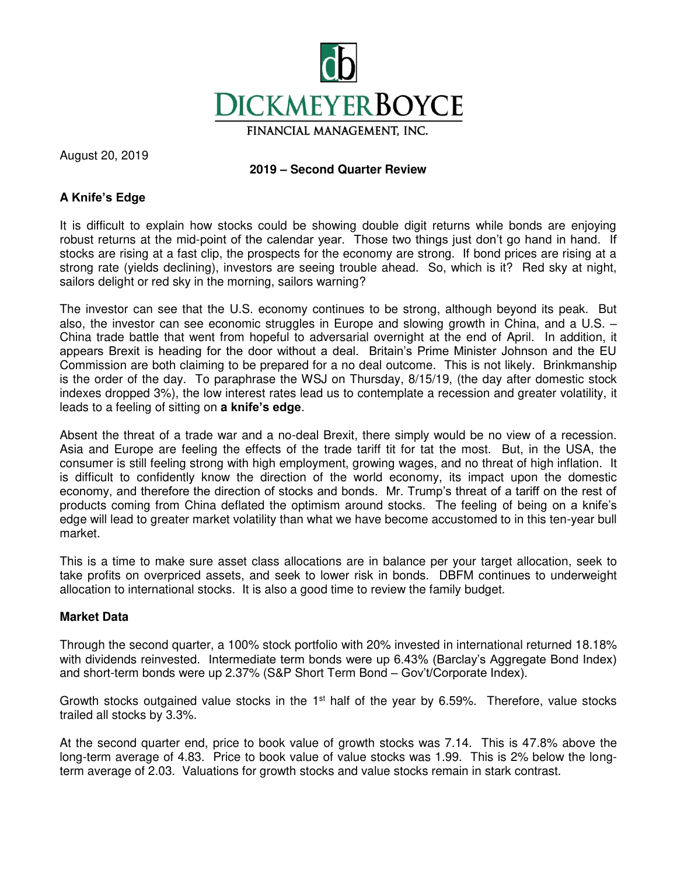

August 20, 2019

## **2019 – Second Quarter Review**

# **A Knife's Edge**

It is difficult to explain how stocks could be showing double digit returns while bonds are enjoying robust returns at the mid-point of the calendar year. Those two things just don't go hand in hand. If stocks are rising at a fast clip, the prospects for the economy are strong. If bond prices are rising at a strong rate (yields declining), investors are seeing trouble ahead. So, which is it? Red sky at night, sailors delight or red sky in the morning, sailors warning?

The investor can see that the U.S. economy continues to be strong, although beyond its peak. But also, the investor can see economic struggles in Europe and slowing growth in China, and a U.S. – China trade battle that went from hopeful to adversarial overnight at the end of April. In addition, it appears Brexit is heading for the door without a deal. Britain's Prime Minister Johnson and the EU Commission are both claiming to be prepared for a no deal outcome. This is not likely. Brinkmanship is the order of the day. To paraphrase the WSJ on Thursday, 8/15/19, (the day after domestic stock indexes dropped 3%), the low interest rates lead us to contemplate a recession and greater volatility, it leads to a feeling of sitting on **a knife's edge**.

Absent the threat of a trade war and a no-deal Brexit, there simply would be no view of a recession. Asia and Europe are feeling the effects of the trade tariff tit for tat the most. But, in the USA, the consumer is still feeling strong with high employment, growing wages, and no threat of high inflation. It is difficult to confidently know the direction of the world economy, its impact upon the domestic economy, and therefore the direction of stocks and bonds. Mr. Trump's threat of a tariff on the rest of products coming from China deflated the optimism around stocks. The feeling of being on a knife's edge will lead to greater market volatility than what we have become accustomed to in this ten-year bull market.

This is a time to make sure asset class allocations are in balance per your target allocation, seek to take profits on overpriced assets, and seek to lower risk in bonds. DBFM continues to underweight allocation to international stocks. It is also a good time to review the family budget.

## **Market Data**

Through the second quarter, a 100% stock portfolio with 20% invested in international returned 18.18% with dividends reinvested. Intermediate term bonds were up 6.43% (Barclay's Aggregate Bond Index) and short-term bonds were up 2.37% (S&P Short Term Bond – Gov't/Corporate Index).

Growth stocks outgained value stocks in the  $1<sup>st</sup>$  half of the year by 6.59%. Therefore, value stocks trailed all stocks by 3.3%.

At the second quarter end, price to book value of growth stocks was 7.14. This is 47.8% above the long-term average of 4.83. Price to book value of value stocks was 1.99. This is 2% below the longterm average of 2.03. Valuations for growth stocks and value stocks remain in stark contrast.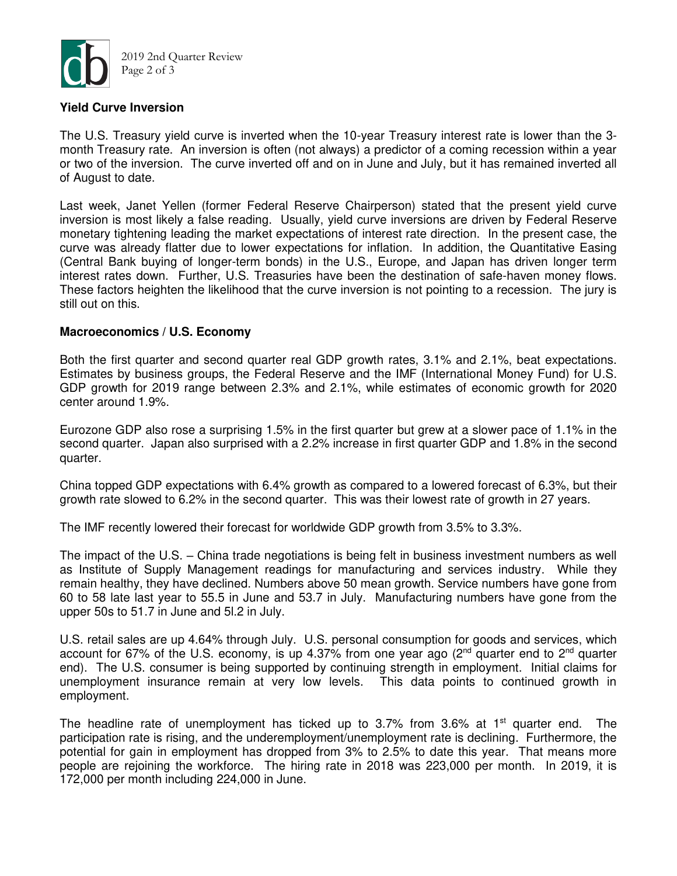

### **Yield Curve Inversion**

The U.S. Treasury yield curve is inverted when the 10-year Treasury interest rate is lower than the 3 month Treasury rate. An inversion is often (not always) a predictor of a coming recession within a year or two of the inversion. The curve inverted off and on in June and July, but it has remained inverted all of August to date.

Last week, Janet Yellen (former Federal Reserve Chairperson) stated that the present yield curve inversion is most likely a false reading. Usually, yield curve inversions are driven by Federal Reserve monetary tightening leading the market expectations of interest rate direction. In the present case, the curve was already flatter due to lower expectations for inflation. In addition, the Quantitative Easing (Central Bank buying of longer-term bonds) in the U.S., Europe, and Japan has driven longer term interest rates down. Further, U.S. Treasuries have been the destination of safe-haven money flows. These factors heighten the likelihood that the curve inversion is not pointing to a recession. The jury is still out on this.

#### **Macroeconomics / U.S. Economy**

Both the first quarter and second quarter real GDP growth rates, 3.1% and 2.1%, beat expectations. Estimates by business groups, the Federal Reserve and the IMF (International Money Fund) for U.S. GDP growth for 2019 range between 2.3% and 2.1%, while estimates of economic growth for 2020 center around 1.9%.

Eurozone GDP also rose a surprising 1.5% in the first quarter but grew at a slower pace of 1.1% in the second quarter. Japan also surprised with a 2.2% increase in first quarter GDP and 1.8% in the second quarter.

China topped GDP expectations with 6.4% growth as compared to a lowered forecast of 6.3%, but their growth rate slowed to 6.2% in the second quarter. This was their lowest rate of growth in 27 years.

The IMF recently lowered their forecast for worldwide GDP growth from 3.5% to 3.3%.

The impact of the U.S. – China trade negotiations is being felt in business investment numbers as well as Institute of Supply Management readings for manufacturing and services industry. While they remain healthy, they have declined. Numbers above 50 mean growth. Service numbers have gone from 60 to 58 late last year to 55.5 in June and 53.7 in July. Manufacturing numbers have gone from the upper 50s to 51.7 in June and 5l.2 in July.

U.S. retail sales are up 4.64% through July. U.S. personal consumption for goods and services, which account for 67% of the U.S. economy, is up 4.37% from one year ago  $(2^{nd}$  quarter end to  $2^{nd}$  quarter end). The U.S. consumer is being supported by continuing strength in employment. Initial claims for unemployment insurance remain at very low levels. This data points to continued growth in employment.

The headline rate of unemployment has ticked up to  $3.7\%$  from  $3.6\%$  at  $1\mathrm{st}$  quarter end. The participation rate is rising, and the underemployment/unemployment rate is declining. Furthermore, the potential for gain in employment has dropped from 3% to 2.5% to date this year. That means more people are rejoining the workforce. The hiring rate in 2018 was 223,000 per month. In 2019, it is 172,000 per month including 224,000 in June.